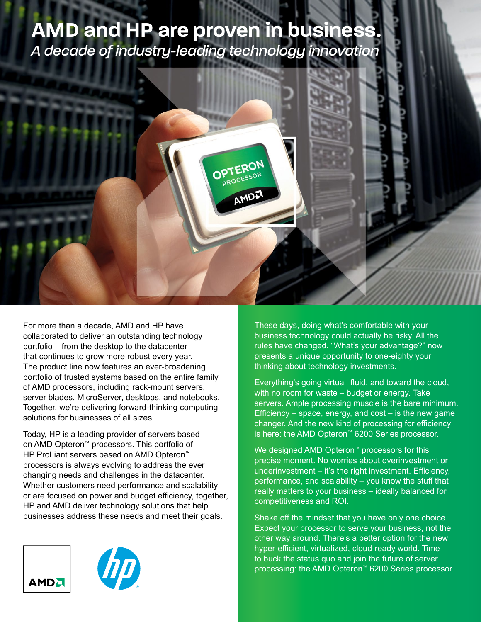# **AMD and HP are proven in business.**

*A decade of industry-leading technology innovation*



For more than a decade, AMD and HP have collaborated to deliver an outstanding technology portfolio – from the desktop to the datacenter – that continues to grow more robust every year. The product line now features an ever-broadening portfolio of trusted systems based on the entire family of AMD processors, including rack-mount servers, server blades, MicroServer, desktops, and notebooks. Together, we're delivering forward-thinking computing solutions for businesses of all sizes.

Today, HP is a leading provider of servers based on AMD Opteron™ processors. This portfolio of HP ProLiant servers based on AMD Opteron™ processors is always evolving to address the ever changing needs and challenges in the datacenter. Whether customers need performance and scalability or are focused on power and budget efficiency, together, HP and AMD deliver technology solutions that help businesses address these needs and meet their goals.





These days, doing what's comfortable with your business technology could actually be risky. All the rules have changed. "What's your advantage?" now presents a unique opportunity to one-eighty your thinking about technology investments.

Everything's going virtual, fluid, and toward the cloud, with no room for waste – budget or energy. Take servers. Ample processing muscle is the bare minimum. Efficiency  $-$  space, energy, and cost  $-$  is the new game changer. And the new kind of processing for efficiency is here: the AMD Opteron™ 6200 Series processor.

We designed AMD Opteron<sup>™</sup> processors for this precise moment. No worries about overinvestment or underinvestment – it's the right investment. Efficiency, performance, and scalability – you know the stuff that really matters to your business – ideally balanced for competitiveness and ROI.

Shake off the mindset that you have only one choice. Expect your processor to serve your business, not the other way around. There's a better option for the new hyper-efficient, virtualized, cloud-ready world. Time to buck the status quo and join the future of server processing: the AMD Opteron™ 6200 Series processor.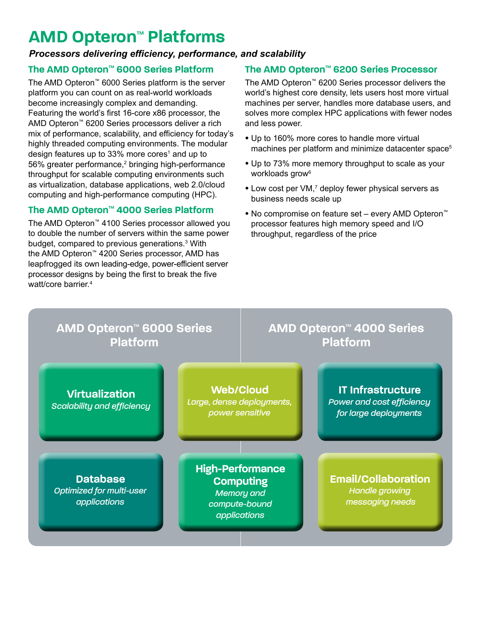## **AMD Opteron**™ **Platforms**

### *Processors delivering efficiency, performance, and scalability*

### **The AMD Opteron**™ **6000 Series Platform**

The AMD Opteron™ 6000 Series platform is the server platform you can count on as real-world workloads become increasingly complex and demanding. Featuring the world's first 16-core x86 processor, the AMD Opteron™ 6200 Series processors deliver a rich mix of performance, scalability, and efficiency for today's highly threaded computing environments. The modular design features up to 33% more cores<sup>1</sup> and up to 56% greater performance,<sup>2</sup> bringing high-performance throughput for scalable computing environments such as virtualization, database applications, web 2.0/cloud computing and high-performance computing (HPC).

### **The AMD Opteron**™ **4000 Series Platform**

The AMD Opteron™ 4100 Series processor allowed you to double the number of servers within the same power budget, compared to previous generations.<sup>3</sup> With the AMD Opteron™ 4200 Series processor, AMD has leapfrogged its own leading-edge, power-efficient server processor designs by being the first to break the five watt/core barrier.4

### **The AMD Opteron**™ **6200 Series Processor**

The AMD Opteron™ 6200 Series processor delivers the world's highest core density, lets users host more virtual machines per server, handles more database users, and solves more complex HPC applications with fewer nodes and less power.

- Up to 160% more cores to handle more virtual machines per platform and minimize datacenter space<sup>5</sup>
- Up to 73% more memory throughput to scale as your workloads grow<sup>6</sup>
- Low cost per VM,7 deploy fewer physical servers as business needs scale up
- No compromise on feature set every AMD Opteron™ processor features high memory speed and I/O throughput, regardless of the price

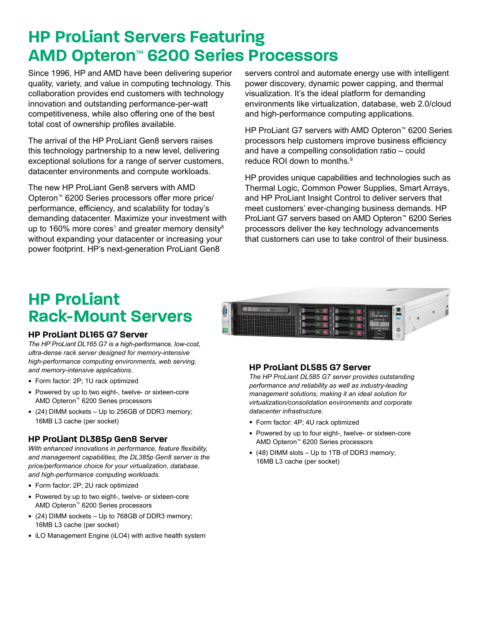## **HP ProLiant Servers Featuring AMD Opteron**™ **6200 Series Processors**

Since 1996, HP and AMD have been delivering superior quality, variety, and value in computing technology. This collaboration provides end customers with technology innovation and outstanding performance-per-watt competitiveness, while also offering one of the best total cost of ownership profiles available.

The arrival of the HP ProLiant Gen8 servers raises this technology partnership to a new level, delivering exceptional solutions for a range of server customers, datacenter environments and compute workloads.

The new HP ProLiant Gen8 servers with AMD Opteron™ 6200 Series processors offer more price/ performance, efficiency, and scalability for today's demanding datacenter. Maximize your investment with up to 160% more cores<sup>1</sup> and greater memory density $^{\text{\tiny{8}}}$ without expanding your datacenter or increasing your power footprint. HP's next-generation ProLiant Gen8

servers control and automate energy use with intelligent power discovery, dynamic power capping, and thermal visualization. It's the ideal platform for demanding environments like virtualization, database, web 2.0/cloud and high-performance computing applications.

HP ProLiant G7 servers with AMD Opteron™ 6200 Series processors help customers improve business efficiency and have a compelling consolidation ratio – could reduce ROI down to months.9

HP provides unique capabilities and technologies such as Thermal Logic, Common Power Supplies, Smart Arrays, and HP ProLiant Insight Control to deliver servers that meet customers' ever-changing business demands. HP ProLiant G7 servers based on AMD Opteron™ 6200 Series processors deliver the key technology advancements that customers can use to take control of their business.

## **HP ProLiant Rack-Mount Servers**

#### **HP ProLiant DL165 G7 Server**

*The HP ProLiant DL165 G7 is a high-performance, low-cost, ultra-dense rack server designed for memory-intensive high-performance computing environments, web serving, and memory-intensive applications.* 

- Form factor: 2P; 1U rack optimized
- Powered by up to two eight-, twelve- or sixteen-core AMD Opteron™ 6200 Series processors
- (24) DIMM sockets Up to 256GB of DDR3 memory; 16MB L3 cache (per socket)

#### **HP ProLiant DL385p Gen8 Server**

*With enhanced innovations in performance, feature flexibility, and management capabilities, the DL385p Gen8 server is the price/performance choice for your virtualization, database, and high-performance computing workloads.*

- Form factor: 2P; 2U rack optimized
- Powered by up to two eight-, twelve- or sixteen-core AMD Opteron™ 6200 Series processors
- (24) DIMM sockets Up to 768GB of DDR3 memory; 16MB L3 cache (per socket)
- iLO Management Engine (iLO4) with active health system



#### **HP ProLiant DL585 G7 Server**

*The HP ProLiant DL585 G7 server provides outstanding performance and reliability as well as industry-leading management solutions, making it an ideal solution for virtualization/consolidation environments and corporate datacenter infrastructure.*

- Form factor: 4P; 4U rack optimized
- Powered by up to four eight-, twelve- or sixteen-core AMD Opteron™ 6200 Series processors
- (48) DIMM slots Up to 1TB of DDR3 memory; 16MB L3 cache (per socket)